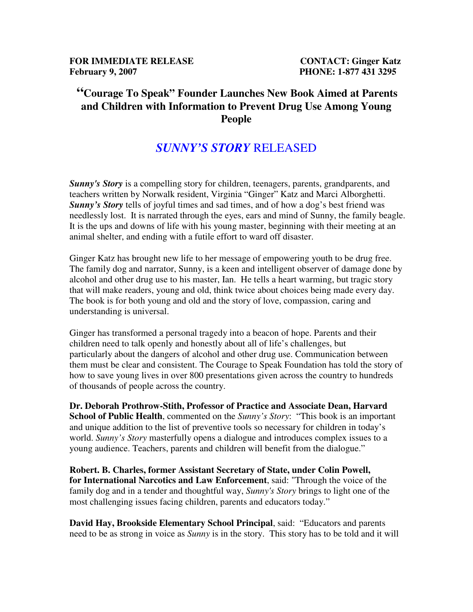**FOR IMMEDIATE RELEASE CONTACT: Ginger Katz February 9, 2007 PHONE: 1-877 431 3295** 

## **"Courage To Speak" Founder Launches New Book Aimed at Parents and Children with Information to Prevent Drug Use Among Young People**

## *SUNNY'S STORY* RELEASED

*Sunny's Story* is a compelling story for children, teenagers, parents, grandparents, and teachers written by Norwalk resident, Virginia "Ginger" Katz and Marci Alborghetti. *Sunny's Story* tells of joyful times and sad times, and of how a dog's best friend was needlessly lost. It is narrated through the eyes, ears and mind of Sunny, the family beagle. It is the ups and downs of life with his young master, beginning with their meeting at an animal shelter, and ending with a futile effort to ward off disaster.

Ginger Katz has brought new life to her message of empowering youth to be drug free. The family dog and narrator, Sunny, is a keen and intelligent observer of damage done by alcohol and other drug use to his master, Ian. He tells a heart warming, but tragic story that will make readers, young and old, think twice about choices being made every day. The book is for both young and old and the story of love, compassion, caring and understanding is universal.

Ginger has transformed a personal tragedy into a beacon of hope. Parents and their children need to talk openly and honestly about all of life's challenges, but particularly about the dangers of alcohol and other drug use. Communication between them must be clear and consistent. The Courage to Speak Foundation has told the story of how to save young lives in over 800 presentations given across the country to hundreds of thousands of people across the country.

**Dr. Deborah Prothrow-Stith, Professor of Practice and Associate Dean, Harvard School of Public Health**, commented on the *Sunny's Story*: "This book is an important and unique addition to the list of preventive tools so necessary for children in today's world. *Sunny's Story* masterfully opens a dialogue and introduces complex issues to a young audience. Teachers, parents and children will benefit from the dialogue."

**Robert. B. Charles, former Assistant Secretary of State, under Colin Powell, for International Narcotics and Law Enforcement**, said: "Through the voice of the family dog and in a tender and thoughtful way, *Sunny's Story* brings to light one of the most challenging issues facing children, parents and educators today."

**David Hay, Brookside Elementary School Principal**, said: "Educators and parents need to be as strong in voice as *Sunny* is in the story. This story has to be told and it will